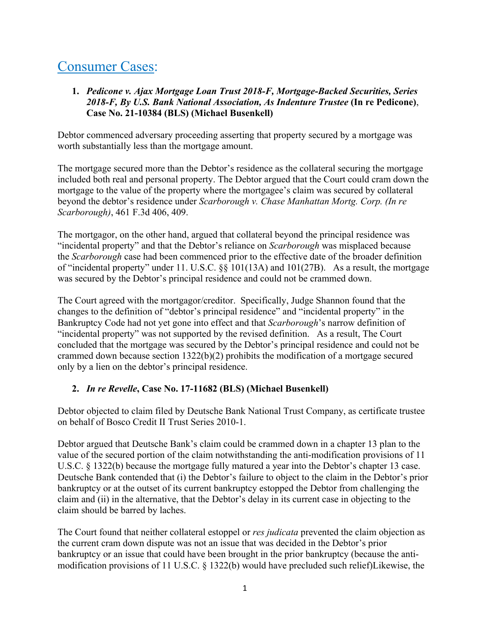# Consumer Cases:

# **1.** *Pedicone v. Ajax Mortgage Loan Trust 2018-F, Mortgage-Backed Securities, Series 2018-F, By U.S. Bank National Association, As Indenture Trustee* **(In re Pedicone)**, **Case No. 21-10384 (BLS) (Michael Busenkell)**

Debtor commenced adversary proceeding asserting that property secured by a mortgage was worth substantially less than the mortgage amount.

The mortgage secured more than the Debtor's residence as the collateral securing the mortgage included both real and personal property. The Debtor argued that the Court could cram down the mortgage to the value of the property where the mortgagee's claim was secured by collateral beyond the debtor's residence under *Scarborough v. Chase Manhattan Mortg. Corp. (In re Scarborough)*, 461 F.3d 406, 409.

The mortgagor, on the other hand, argued that collateral beyond the principal residence was "incidental property" and that the Debtor's reliance on *Scarborough* was misplaced because the *Scarborough* case had been commenced prior to the effective date of the broader definition of "incidental property" under 11. U.S.C. §§ 101(13A) and 101(27B). As a result, the mortgage was secured by the Debtor's principal residence and could not be crammed down.

The Court agreed with the mortgagor/creditor. Specifically, Judge Shannon found that the changes to the definition of "debtor's principal residence" and "incidental property" in the Bankruptcy Code had not yet gone into effect and that *Scarborough*'s narrow definition of "incidental property" was not supported by the revised definition. As a result, The Court concluded that the mortgage was secured by the Debtor's principal residence and could not be crammed down because section 1322(b)(2) prohibits the modification of a mortgage secured only by a lien on the debtor's principal residence.

# **2.** *In re Revelle***, Case No. 17-11682 (BLS) (Michael Busenkell)**

Debtor objected to claim filed by Deutsche Bank National Trust Company, as certificate trustee on behalf of Bosco Credit II Trust Series 2010-1.

Debtor argued that Deutsche Bank's claim could be crammed down in a chapter 13 plan to the value of the secured portion of the claim notwithstanding the anti-modification provisions of 11 U.S.C. § 1322(b) because the mortgage fully matured a year into the Debtor's chapter 13 case. Deutsche Bank contended that (i) the Debtor's failure to object to the claim in the Debtor's prior bankruptcy or at the outset of its current bankruptcy estopped the Debtor from challenging the claim and (ii) in the alternative, that the Debtor's delay in its current case in objecting to the claim should be barred by laches.

The Court found that neither collateral estoppel or *res judicata* prevented the claim objection as the current cram down dispute was not an issue that was decided in the Debtor's prior bankruptcy or an issue that could have been brought in the prior bankruptcy (because the antimodification provisions of 11 U.S.C. § 1322(b) would have precluded such relief)Likewise, the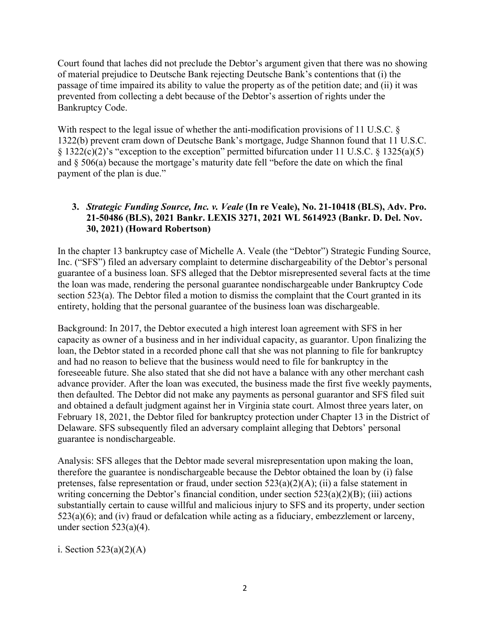Court found that laches did not preclude the Debtor's argument given that there was no showing of material prejudice to Deutsche Bank rejecting Deutsche Bank's contentions that (i) the passage of time impaired its ability to value the property as of the petition date; and (ii) it was prevented from collecting a debt because of the Debtor's assertion of rights under the Bankruptcy Code.

With respect to the legal issue of whether the anti-modification provisions of 11 U.S.C. § 1322(b) prevent cram down of Deutsche Bank's mortgage, Judge Shannon found that 11 U.S.C.  $\S$  1322(c)(2)'s "exception to the exception" permitted bifurcation under 11 U.S.C.  $\S$  1325(a)(5) and § 506(a) because the mortgage's maturity date fell "before the date on which the final payment of the plan is due."

# **3.** *Strategic Funding Source, Inc. v. Veale* **(In re Veale), No. 21-10418 (BLS), Adv. Pro. 21-50486 (BLS), 2021 Bankr. LEXIS 3271, 2021 WL 5614923 (Bankr. D. Del. Nov. 30, 2021) (Howard Robertson)**

In the chapter 13 bankruptcy case of Michelle A. Veale (the "Debtor") Strategic Funding Source, Inc. ("SFS") filed an adversary complaint to determine dischargeability of the Debtor's personal guarantee of a business loan. SFS alleged that the Debtor misrepresented several facts at the time the loan was made, rendering the personal guarantee nondischargeable under Bankruptcy Code section 523(a). The Debtor filed a motion to dismiss the complaint that the Court granted in its entirety, holding that the personal guarantee of the business loan was dischargeable.

Background: In 2017, the Debtor executed a high interest loan agreement with SFS in her capacity as owner of a business and in her individual capacity, as guarantor. Upon finalizing the loan, the Debtor stated in a recorded phone call that she was not planning to file for bankruptcy and had no reason to believe that the business would need to file for bankruptcy in the foreseeable future. She also stated that she did not have a balance with any other merchant cash advance provider. After the loan was executed, the business made the first five weekly payments, then defaulted. The Debtor did not make any payments as personal guarantor and SFS filed suit and obtained a default judgment against her in Virginia state court. Almost three years later, on February 18, 2021, the Debtor filed for bankruptcy protection under Chapter 13 in the District of Delaware. SFS subsequently filed an adversary complaint alleging that Debtors' personal guarantee is nondischargeable.

Analysis: SFS alleges that the Debtor made several misrepresentation upon making the loan, therefore the guarantee is nondischargeable because the Debtor obtained the loan by (i) false pretenses, false representation or fraud, under section 523(a)(2)(A); (ii) a false statement in writing concerning the Debtor's financial condition, under section  $523(a)(2)(B)$ ; (iii) actions substantially certain to cause willful and malicious injury to SFS and its property, under section  $523(a)(6)$ ; and (iv) fraud or defalcation while acting as a fiduciary, embezzlement or larceny, under section  $523(a)(4)$ .

i. Section  $523(a)(2)(A)$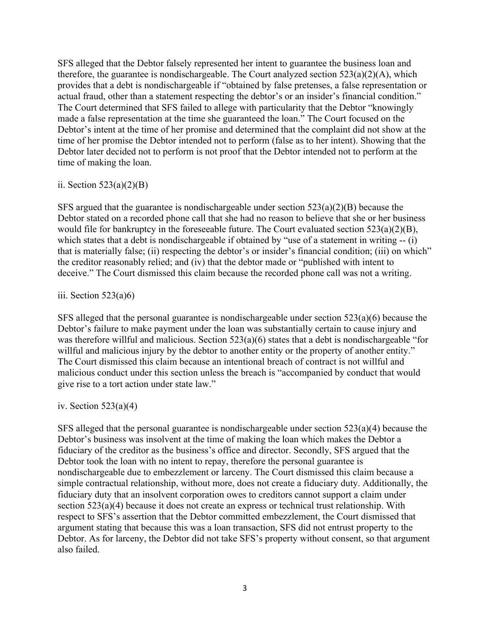SFS alleged that the Debtor falsely represented her intent to guarantee the business loan and therefore, the guarantee is nondischargeable. The Court analyzed section  $523(a)(2)(A)$ , which provides that a debt is nondischargeable if "obtained by false pretenses, a false representation or actual fraud, other than a statement respecting the debtor's or an insider's financial condition." The Court determined that SFS failed to allege with particularity that the Debtor "knowingly made a false representation at the time she guaranteed the loan." The Court focused on the Debtor's intent at the time of her promise and determined that the complaint did not show at the time of her promise the Debtor intended not to perform (false as to her intent). Showing that the Debtor later decided not to perform is not proof that the Debtor intended not to perform at the time of making the loan.

#### ii. Section  $523(a)(2)(B)$

SFS argued that the guarantee is nondischargeable under section 523(a)(2)(B) because the Debtor stated on a recorded phone call that she had no reason to believe that she or her business would file for bankruptcy in the foreseeable future. The Court evaluated section 523(a)(2)(B), which states that a debt is nondischargeable if obtained by "use of a statement in writing -- (i) that is materially false; (ii) respecting the debtor's or insider's financial condition; (iii) on which" the creditor reasonably relied; and (iv) that the debtor made or "published with intent to deceive." The Court dismissed this claim because the recorded phone call was not a writing.

### iii. Section  $523(a)6$

SFS alleged that the personal guarantee is nondischargeable under section 523(a)(6) because the Debtor's failure to make payment under the loan was substantially certain to cause injury and was therefore willful and malicious. Section 523(a)(6) states that a debt is nondischargeable "for willful and malicious injury by the debtor to another entity or the property of another entity." The Court dismissed this claim because an intentional breach of contract is not willful and malicious conduct under this section unless the breach is "accompanied by conduct that would give rise to a tort action under state law."

## iv. Section  $523(a)(4)$

SFS alleged that the personal guarantee is nondischargeable under section  $523(a)(4)$  because the Debtor's business was insolvent at the time of making the loan which makes the Debtor a fiduciary of the creditor as the business's office and director. Secondly, SFS argued that the Debtor took the loan with no intent to repay, therefore the personal guarantee is nondischargeable due to embezzlement or larceny. The Court dismissed this claim because a simple contractual relationship, without more, does not create a fiduciary duty. Additionally, the fiduciary duty that an insolvent corporation owes to creditors cannot support a claim under section 523(a)(4) because it does not create an express or technical trust relationship. With respect to SFS's assertion that the Debtor committed embezzlement, the Court dismissed that argument stating that because this was a loan transaction, SFS did not entrust property to the Debtor. As for larceny, the Debtor did not take SFS's property without consent, so that argument also failed.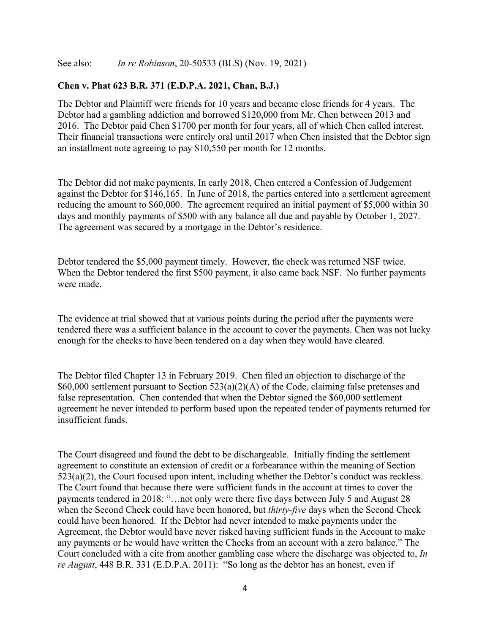See also: *In re Robinson*, 20-50533 (BLS) (Nov. 19, 2021)

#### **Chen v. Phat 623 B.R. 371 (E.D.P.A. 2021, Chan, B.J.)**

The Debtor and Plaintiff were friends for 10 years and became close friends for 4 years. The Debtor had a gambling addiction and borrowed \$120,000 from Mr. Chen between 2013 and 2016. The Debtor paid Chen \$1700 per month for four years, all of which Chen called interest. Their financial transactions were entirely oral until 2017 when Chen insisted that the Debtor sign an installment note agreeing to pay \$10,550 per month for 12 months.

The Debtor did not make payments. In early 2018, Chen entered a Confession of Judgement against the Debtor for \$146,165. In June of 2018, the parties entered into a settlement agreement reducing the amount to \$60,000. The agreement required an initial payment of \$5,000 within 30 days and monthly payments of \$500 with any balance all due and payable by October 1, 2027. The agreement was secured by a mortgage in the Debtor's residence.

Debtor tendered the \$5,000 payment timely. However, the check was returned NSF twice. When the Debtor tendered the first \$500 payment, it also came back NSF. No further payments were made.

The evidence at trial showed that at various points during the period after the payments were tendered there was a sufficient balance in the account to cover the payments. Chen was not lucky enough for the checks to have been tendered on a day when they would have cleared.

The Debtor filed Chapter 13 in February 2019. Chen filed an objection to discharge of the \$60,000 settlement pursuant to Section 523(a)(2)(A) of the Code, claiming false pretenses and false representation. Chen contended that when the Debtor signed the \$60,000 settlement agreement he never intended to perform based upon the repeated tender of payments returned for insufficient funds.

The Court disagreed and found the debt to be dischargeable. Initially finding the settlement agreement to constitute an extension of credit or a forbearance within the meaning of Section 523(a)(2), the Court focused upon intent, including whether the Debtor's conduct was reckless. The Court found that because there were sufficient funds in the account at times to cover the payments tendered in 2018: "…not only were there five days between July 5 and August 28 when the Second Check could have been honored, but *thirty-five* days when the Second Check could have been honored. If the Debtor had never intended to make payments under the Agreement, the Debtor would have never risked having sufficient funds in the Account to make any payments or he would have written the Checks from an account with a zero balance." The Court concluded with a cite from another gambling case where the discharge was objected to, *In re August*, 448 B.R. 331 (E.D.P.A. 2011): "So long as the debtor has an honest, even if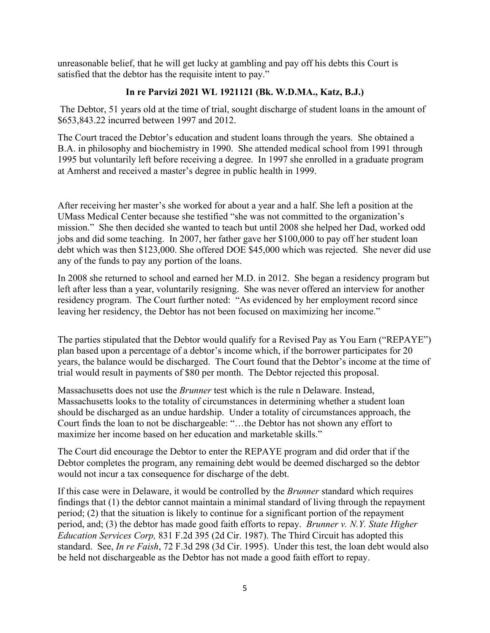unreasonable belief, that he will get lucky at gambling and pay off his debts this Court is satisfied that the debtor has the requisite intent to pay."

## **In re Parvizi 2021 WL 1921121 (Bk. W.D.MA., Katz, B.J.)**

The Debtor, 51 years old at the time of trial, sought discharge of student loans in the amount of \$653,843.22 incurred between 1997 and 2012.

The Court traced the Debtor's education and student loans through the years. She obtained a B.A. in philosophy and biochemistry in 1990. She attended medical school from 1991 through 1995 but voluntarily left before receiving a degree. In 1997 she enrolled in a graduate program at Amherst and received a master's degree in public health in 1999.

After receiving her master's she worked for about a year and a half. She left a position at the UMass Medical Center because she testified "she was not committed to the organization's mission." She then decided she wanted to teach but until 2008 she helped her Dad, worked odd jobs and did some teaching. In 2007, her father gave her \$100,000 to pay off her student loan debt which was then \$123,000. She offered DOE \$45,000 which was rejected. She never did use any of the funds to pay any portion of the loans.

In 2008 she returned to school and earned her M.D. in 2012. She began a residency program but left after less than a year, voluntarily resigning. She was never offered an interview for another residency program. The Court further noted: "As evidenced by her employment record since leaving her residency, the Debtor has not been focused on maximizing her income."

The parties stipulated that the Debtor would qualify for a Revised Pay as You Earn ("REPAYE") plan based upon a percentage of a debtor's income which, if the borrower participates for 20 years, the balance would be discharged. The Court found that the Debtor's income at the time of trial would result in payments of \$80 per month. The Debtor rejected this proposal.

Massachusetts does not use the *Brunner* test which is the rule n Delaware. Instead, Massachusetts looks to the totality of circumstances in determining whether a student loan should be discharged as an undue hardship. Under a totality of circumstances approach, the Court finds the loan to not be dischargeable: "…the Debtor has not shown any effort to maximize her income based on her education and marketable skills."

The Court did encourage the Debtor to enter the REPAYE program and did order that if the Debtor completes the program, any remaining debt would be deemed discharged so the debtor would not incur a tax consequence for discharge of the debt.

If this case were in Delaware, it would be controlled by the *Brunner* standard which requires findings that (1) the debtor cannot maintain a minimal standard of living through the repayment period; (2) that the situation is likely to continue for a significant portion of the repayment period, and; (3) the debtor has made good faith efforts to repay. *Brunner v. N.Y. State Higher Education Services Corp,* 831 F.2d 395 (2d Cir. 1987). The Third Circuit has adopted this standard. See, *In re Faish*, 72 F.3d 298 (3d Cir. 1995). Under this test, the loan debt would also be held not dischargeable as the Debtor has not made a good faith effort to repay.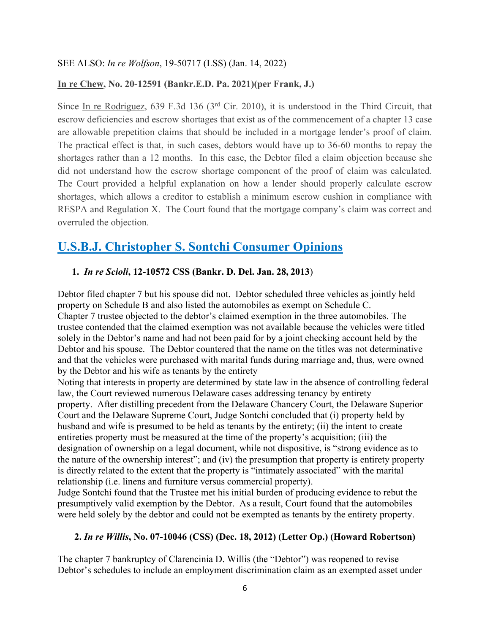#### SEE ALSO: *In re Wolfson*, 19-50717 (LSS) (Jan. 14, 2022)

#### **In re Chew, No. 20-12591 (Bankr.E.D. Pa. 2021)(per Frank, J.)**

Since In re Rodriguez, 639 F.3d 136 (3rd Cir. 2010), it is understood in the Third Circuit, that escrow deficiencies and escrow shortages that exist as of the commencement of a chapter 13 case are allowable prepetition claims that should be included in a mortgage lender's proof of claim. The practical effect is that, in such cases, debtors would have up to 36-60 months to repay the shortages rather than a 12 months. In this case, the Debtor filed a claim objection because she did not understand how the escrow shortage component of the proof of claim was calculated. The Court provided a helpful explanation on how a lender should properly calculate escrow shortages, which allows a creditor to establish a minimum escrow cushion in compliance with RESPA and Regulation X. The Court found that the mortgage company's claim was correct and overruled the objection.

# **U.S.B.J. Christopher S. Sontchi Consumer Opinions**

#### **1.** *In re Scioli***, 12-10572 CSS (Bankr. D. Del. Jan. 28, 2013**)

Debtor filed chapter 7 but his spouse did not. Debtor scheduled three vehicles as jointly held property on Schedule B and also listed the automobiles as exempt on Schedule C. Chapter 7 trustee objected to the debtor's claimed exemption in the three automobiles. The trustee contended that the claimed exemption was not available because the vehicles were titled solely in the Debtor's name and had not been paid for by a joint checking account held by the Debtor and his spouse. The Debtor countered that the name on the titles was not determinative and that the vehicles were purchased with marital funds during marriage and, thus, were owned by the Debtor and his wife as tenants by the entirety

Noting that interests in property are determined by state law in the absence of controlling federal law, the Court reviewed numerous Delaware cases addressing tenancy by entirety property. After distilling precedent from the Delaware Chancery Court, the Delaware Superior Court and the Delaware Supreme Court, Judge Sontchi concluded that (i) property held by husband and wife is presumed to be held as tenants by the entirety; (ii) the intent to create entireties property must be measured at the time of the property's acquisition; (iii) the designation of ownership on a legal document, while not dispositive, is "strong evidence as to the nature of the ownership interest"; and (iv) the presumption that property is entirety property is directly related to the extent that the property is "intimately associated" with the marital relationship (i.e. linens and furniture versus commercial property).

Judge Sontchi found that the Trustee met his initial burden of producing evidence to rebut the presumptively valid exemption by the Debtor. As a result, Court found that the automobiles were held solely by the debtor and could not be exempted as tenants by the entirety property.

#### **2.** *In re Willis***, No. 07-10046 (CSS) (Dec. 18, 2012) (Letter Op.) (Howard Robertson)**

The chapter 7 bankruptcy of Clarencinia D. Willis (the "Debtor") was reopened to revise Debtor's schedules to include an employment discrimination claim as an exempted asset under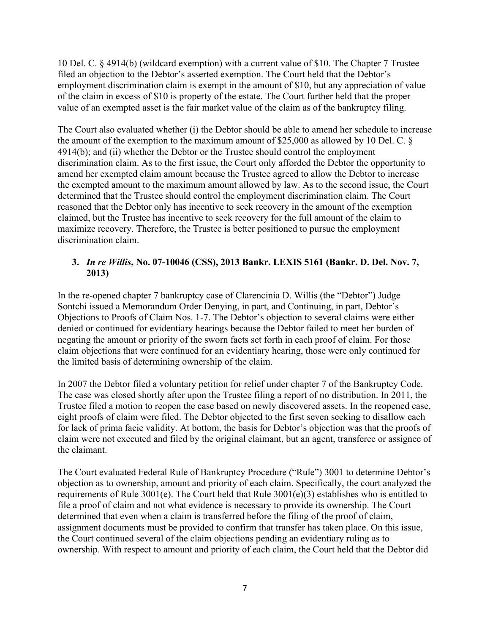10 Del. C. § 4914(b) (wildcard exemption) with a current value of \$10. The Chapter 7 Trustee filed an objection to the Debtor's asserted exemption. The Court held that the Debtor's employment discrimination claim is exempt in the amount of \$10, but any appreciation of value of the claim in excess of \$10 is property of the estate. The Court further held that the proper value of an exempted asset is the fair market value of the claim as of the bankruptcy filing.

The Court also evaluated whether (i) the Debtor should be able to amend her schedule to increase the amount of the exemption to the maximum amount of \$25,000 as allowed by 10 Del. C. § 4914(b); and (ii) whether the Debtor or the Trustee should control the employment discrimination claim. As to the first issue, the Court only afforded the Debtor the opportunity to amend her exempted claim amount because the Trustee agreed to allow the Debtor to increase the exempted amount to the maximum amount allowed by law. As to the second issue, the Court determined that the Trustee should control the employment discrimination claim. The Court reasoned that the Debtor only has incentive to seek recovery in the amount of the exemption claimed, but the Trustee has incentive to seek recovery for the full amount of the claim to maximize recovery. Therefore, the Trustee is better positioned to pursue the employment discrimination claim.

# **3.** *In re Willis***, No. 07-10046 (CSS), 2013 Bankr. LEXIS 5161 (Bankr. D. Del. Nov. 7, 2013)**

In the re-opened chapter 7 bankruptcy case of Clarencinia D. Willis (the "Debtor") Judge Sontchi issued a Memorandum Order Denying, in part, and Continuing, in part, Debtor's Objections to Proofs of Claim Nos. 1-7. The Debtor's objection to several claims were either denied or continued for evidentiary hearings because the Debtor failed to meet her burden of negating the amount or priority of the sworn facts set forth in each proof of claim. For those claim objections that were continued for an evidentiary hearing, those were only continued for the limited basis of determining ownership of the claim.

In 2007 the Debtor filed a voluntary petition for relief under chapter 7 of the Bankruptcy Code. The case was closed shortly after upon the Trustee filing a report of no distribution. In 2011, the Trustee filed a motion to reopen the case based on newly discovered assets. In the reopened case, eight proofs of claim were filed. The Debtor objected to the first seven seeking to disallow each for lack of prima facie validity. At bottom, the basis for Debtor's objection was that the proofs of claim were not executed and filed by the original claimant, but an agent, transferee or assignee of the claimant.

The Court evaluated Federal Rule of Bankruptcy Procedure ("Rule") 3001 to determine Debtor's objection as to ownership, amount and priority of each claim. Specifically, the court analyzed the requirements of Rule 3001(e). The Court held that Rule 3001(e)(3) establishes who is entitled to file a proof of claim and not what evidence is necessary to provide its ownership. The Court determined that even when a claim is transferred before the filing of the proof of claim, assignment documents must be provided to confirm that transfer has taken place. On this issue, the Court continued several of the claim objections pending an evidentiary ruling as to ownership. With respect to amount and priority of each claim, the Court held that the Debtor did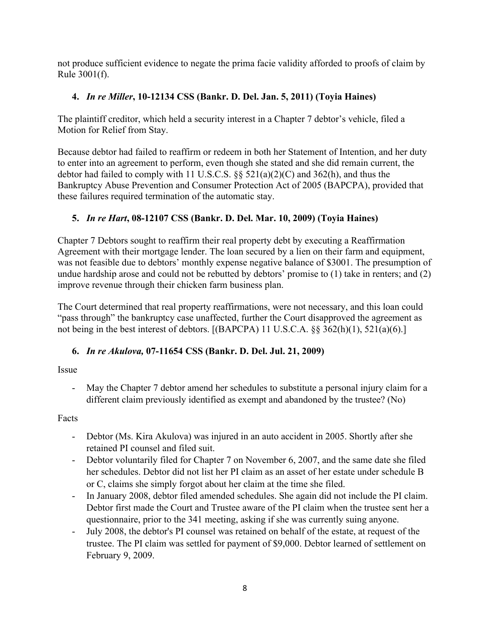not produce sufficient evidence to negate the prima facie validity afforded to proofs of claim by Rule 3001(f).

# **4.** *In re Miller***, 10-12134 CSS (Bankr. D. Del. Jan. 5, 2011) (Toyia Haines)**

The plaintiff creditor, which held a security interest in a Chapter 7 debtor's vehicle, filed a Motion for Relief from Stay.

Because debtor had failed to reaffirm or redeem in both her Statement of Intention, and her duty to enter into an agreement to perform, even though she stated and she did remain current, the debtor had failed to comply with 11 U.S.C.S. §§ 521(a)(2)(C) and 362(h), and thus the Bankruptcy Abuse Prevention and Consumer Protection Act of 2005 (BAPCPA), provided that these failures required termination of the automatic stay.

# **5.** *In re Hart***, 08-12107 CSS (Bankr. D. Del. Mar. 10, 2009) (Toyia Haines)**

Chapter 7 Debtors sought to reaffirm their real property debt by executing a Reaffirmation Agreement with their mortgage lender. The loan secured by a lien on their farm and equipment, was not feasible due to debtors' monthly expense negative balance of \$3001. The presumption of undue hardship arose and could not be rebutted by debtors' promise to (1) take in renters; and (2) improve revenue through their chicken farm business plan.

The Court determined that real property reaffirmations, were not necessary, and this loan could "pass through" the bankruptcy case unaffected, further the Court disapproved the agreement as not being in the best interest of debtors. [(BAPCPA) 11 U.S.C.A. §§ 362(h)(1), 521(a)(6).]

# **6.** *In re Akulova,* **07-11654 CSS (Bankr. D. Del. Jul. 21, 2009)**

Issue

- May the Chapter 7 debtor amend her schedules to substitute a personal injury claim for a different claim previously identified as exempt and abandoned by the trustee? (No)

Facts

- Debtor (Ms. Kira Akulova) was injured in an auto accident in 2005. Shortly after she retained PI counsel and filed suit.
- Debtor voluntarily filed for Chapter 7 on November 6, 2007, and the same date she filed her schedules. Debtor did not list her PI claim as an asset of her estate under schedule B or C, claims she simply forgot about her claim at the time she filed.
- In January 2008, debtor filed amended schedules. She again did not include the PI claim. Debtor first made the Court and Trustee aware of the PI claim when the trustee sent her a questionnaire, prior to the 341 meeting, asking if she was currently suing anyone.
- July 2008, the debtor's PI counsel was retained on behalf of the estate, at request of the trustee. The PI claim was settled for payment of \$9,000. Debtor learned of settlement on February 9, 2009.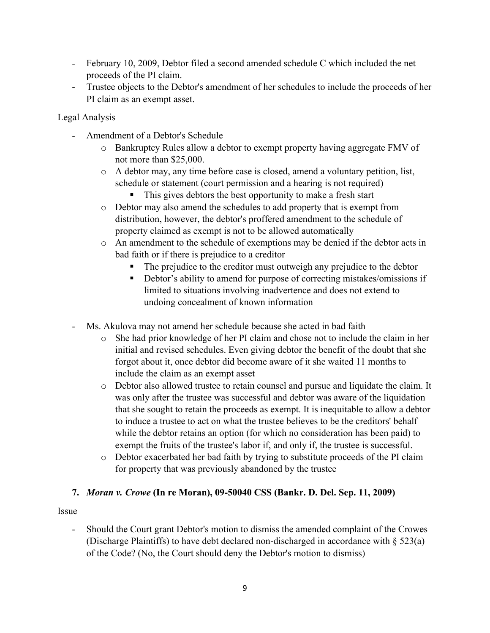- February 10, 2009, Debtor filed a second amended schedule C which included the net proceeds of the PI claim.
- Trustee objects to the Debtor's amendment of her schedules to include the proceeds of her PI claim as an exempt asset.

Legal Analysis

- Amendment of a Debtor's Schedule
	- o Bankruptcy Rules allow a debtor to exempt property having aggregate FMV of not more than \$25,000.
	- o A debtor may, any time before case is closed, amend a voluntary petition, list, schedule or statement (court permission and a hearing is not required)
		- This gives debtors the best opportunity to make a fresh start
	- o Debtor may also amend the schedules to add property that is exempt from distribution, however, the debtor's proffered amendment to the schedule of property claimed as exempt is not to be allowed automatically
	- o An amendment to the schedule of exemptions may be denied if the debtor acts in bad faith or if there is prejudice to a creditor
		- The prejudice to the creditor must outweigh any prejudice to the debtor
		- Debtor's ability to amend for purpose of correcting mistakes/omissions if limited to situations involving inadvertence and does not extend to undoing concealment of known information
- Ms. Akulova may not amend her schedule because she acted in bad faith
	- o She had prior knowledge of her PI claim and chose not to include the claim in her initial and revised schedules. Even giving debtor the benefit of the doubt that she forgot about it, once debtor did become aware of it she waited 11 months to include the claim as an exempt asset
	- o Debtor also allowed trustee to retain counsel and pursue and liquidate the claim. It was only after the trustee was successful and debtor was aware of the liquidation that she sought to retain the proceeds as exempt. It is inequitable to allow a debtor to induce a trustee to act on what the trustee believes to be the creditors' behalf while the debtor retains an option (for which no consideration has been paid) to exempt the fruits of the trustee's labor if, and only if, the trustee is successful.
	- o Debtor exacerbated her bad faith by trying to substitute proceeds of the PI claim for property that was previously abandoned by the trustee

## **7.** *Moran v. Crowe* **(In re Moran), 09-50040 CSS (Bankr. D. Del. Sep. 11, 2009)**

Issue

- Should the Court grant Debtor's motion to dismiss the amended complaint of the Crowes (Discharge Plaintiffs) to have debt declared non-discharged in accordance with § 523(a) of the Code? (No, the Court should deny the Debtor's motion to dismiss)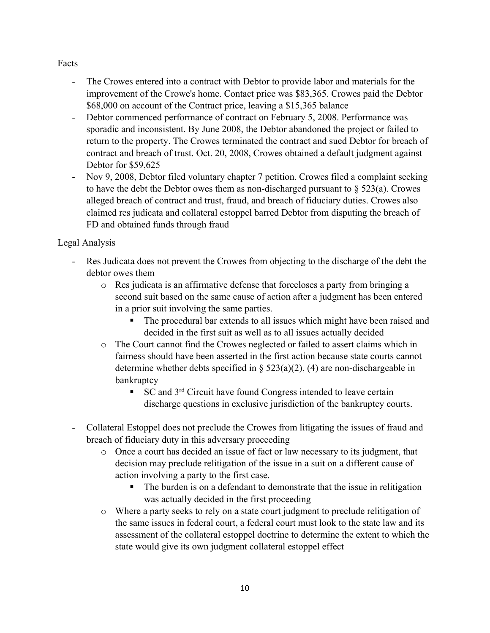### Facts

- The Crowes entered into a contract with Debtor to provide labor and materials for the improvement of the Crowe's home. Contact price was \$83,365. Crowes paid the Debtor \$68,000 on account of the Contract price, leaving a \$15,365 balance
- Debtor commenced performance of contract on February 5, 2008. Performance was sporadic and inconsistent. By June 2008, the Debtor abandoned the project or failed to return to the property. The Crowes terminated the contract and sued Debtor for breach of contract and breach of trust. Oct. 20, 2008, Crowes obtained a default judgment against Debtor for \$59,625
- Nov 9, 2008, Debtor filed voluntary chapter 7 petition. Crowes filed a complaint seeking to have the debt the Debtor owes them as non-discharged pursuant to  $\S$  523(a). Crowes alleged breach of contract and trust, fraud, and breach of fiduciary duties. Crowes also claimed res judicata and collateral estoppel barred Debtor from disputing the breach of FD and obtained funds through fraud

# Legal Analysis

- Res Judicata does not prevent the Crowes from objecting to the discharge of the debt the debtor owes them
	- o Res judicata is an affirmative defense that forecloses a party from bringing a second suit based on the same cause of action after a judgment has been entered in a prior suit involving the same parties.
		- The procedural bar extends to all issues which might have been raised and decided in the first suit as well as to all issues actually decided
	- o The Court cannot find the Crowes neglected or failed to assert claims which in fairness should have been asserted in the first action because state courts cannot determine whether debts specified in  $\S$  523(a)(2), (4) are non-dischargeable in bankruptcy
		- SC and 3<sup>rd</sup> Circuit have found Congress intended to leave certain discharge questions in exclusive jurisdiction of the bankruptcy courts.
- Collateral Estoppel does not preclude the Crowes from litigating the issues of fraud and breach of fiduciary duty in this adversary proceeding
	- o Once a court has decided an issue of fact or law necessary to its judgment, that decision may preclude relitigation of the issue in a suit on a different cause of action involving a party to the first case.
		- The burden is on a defendant to demonstrate that the issue in relitigation was actually decided in the first proceeding
	- o Where a party seeks to rely on a state court judgment to preclude relitigation of the same issues in federal court, a federal court must look to the state law and its assessment of the collateral estoppel doctrine to determine the extent to which the state would give its own judgment collateral estoppel effect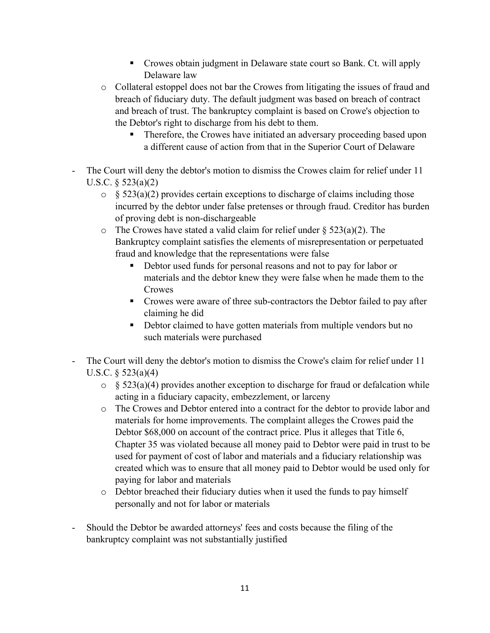- Crowes obtain judgment in Delaware state court so Bank. Ct. will apply Delaware law
- o Collateral estoppel does not bar the Crowes from litigating the issues of fraud and breach of fiduciary duty. The default judgment was based on breach of contract and breach of trust. The bankruptcy complaint is based on Crowe's objection to the Debtor's right to discharge from his debt to them.
	- Therefore, the Crowes have initiated an adversary proceeding based upon a different cause of action from that in the Superior Court of Delaware
- The Court will deny the debtor's motion to dismiss the Crowes claim for relief under 11 U.S.C. § 523(a)(2)
	- $\circ$  § 523(a)(2) provides certain exceptions to discharge of claims including those incurred by the debtor under false pretenses or through fraud. Creditor has burden of proving debt is non-dischargeable
	- $\circ$  The Crowes have stated a valid claim for relief under § 523(a)(2). The Bankruptcy complaint satisfies the elements of misrepresentation or perpetuated fraud and knowledge that the representations were false
		- Debtor used funds for personal reasons and not to pay for labor or materials and the debtor knew they were false when he made them to the **Crowes**
		- Crowes were aware of three sub-contractors the Debtor failed to pay after claiming he did
		- Debtor claimed to have gotten materials from multiple vendors but no such materials were purchased
- The Court will deny the debtor's motion to dismiss the Crowe's claim for relief under 11 U.S.C.  $\S$  523(a)(4)
	- $\circ$  § 523(a)(4) provides another exception to discharge for fraud or defalcation while acting in a fiduciary capacity, embezzlement, or larceny
	- o The Crowes and Debtor entered into a contract for the debtor to provide labor and materials for home improvements. The complaint alleges the Crowes paid the Debtor \$68,000 on account of the contract price. Plus it alleges that Title 6, Chapter 35 was violated because all money paid to Debtor were paid in trust to be used for payment of cost of labor and materials and a fiduciary relationship was created which was to ensure that all money paid to Debtor would be used only for paying for labor and materials
	- o Debtor breached their fiduciary duties when it used the funds to pay himself personally and not for labor or materials
- Should the Debtor be awarded attorneys' fees and costs because the filing of the bankruptcy complaint was not substantially justified